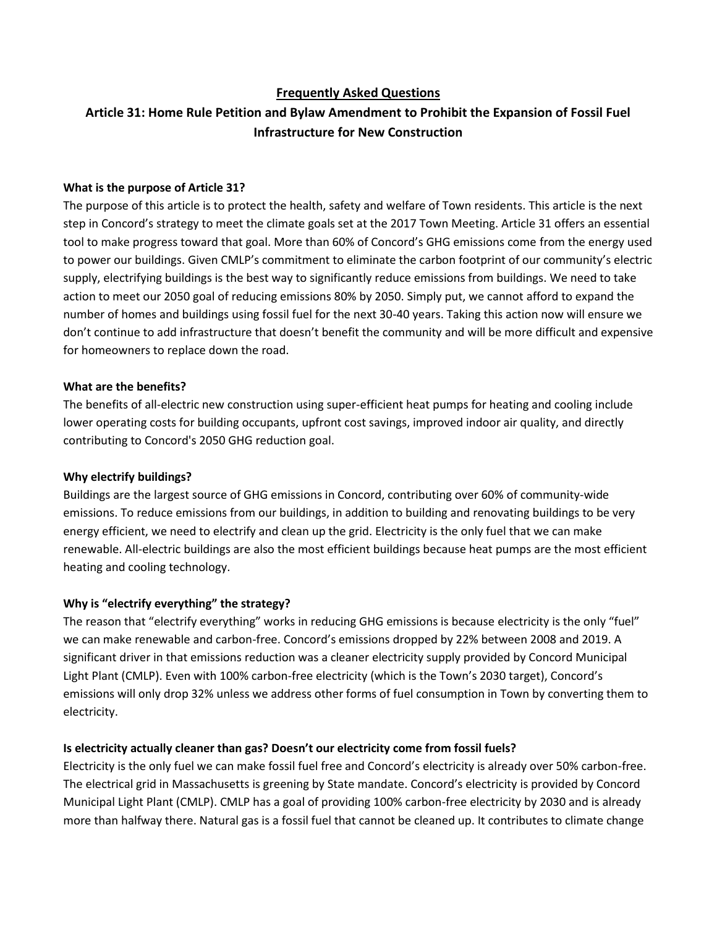# **Frequently Asked Questions**

# **Article 31: Home Rule Petition and Bylaw Amendment to Prohibit the Expansion of Fossil Fuel Infrastructure for New Construction**

#### **What is the purpose of Article 31?**

The purpose of this article is to protect the health, safety and welfare of Town residents. This article is the next step in Concord's strategy to meet the climate goals set at the 2017 Town Meeting. Article 31 offers an essential tool to make progress toward that goal. More than 60% of Concord's GHG emissions come from the energy used to power our buildings. Given CMLP's commitment to eliminate the carbon footprint of our community's electric supply, electrifying buildings is the best way to significantly reduce emissions from buildings. We need to take action to meet our 2050 goal of reducing emissions 80% by 2050. Simply put, we cannot afford to expand the number of homes and buildings using fossil fuel for the next 30-40 years. Taking this action now will ensure we don't continue to add infrastructure that doesn't benefit the community and will be more difficult and expensive for homeowners to replace down the road.

## **What are the benefits?**

The benefits of all-electric new construction using super-efficient heat pumps for heating and cooling include lower operating costs for building occupants, upfront cost savings, improved indoor air quality, and directly contributing to Concord's 2050 GHG reduction goal.

#### **Why electrify buildings?**

Buildings are the largest source of GHG emissions in Concord, contributing over 60% of community-wide emissions. To reduce emissions from our buildings, in addition to building and renovating buildings to be very energy efficient, we need to electrify and clean up the grid. Electricity is the only fuel that we can make renewable. All-electric buildings are also the most efficient buildings because heat pumps are the most efficient heating and cooling technology.

#### **Why is "electrify everything" the strategy?**

The reason that "electrify everything" works in reducing GHG emissions is because electricity is the only "fuel" we can make renewable and carbon-free. Concord's emissions dropped by 22% between 2008 and 2019. A significant driver in that emissions reduction was a cleaner electricity supply provided by Concord Municipal Light Plant (CMLP). Even with 100% carbon-free electricity (which is the Town's 2030 target), Concord's emissions will only drop 32% unless we address other forms of fuel consumption in Town by converting them to electricity.

#### **Is electricity actually cleaner than gas? Doesn't our electricity come from fossil fuels?**

Electricity is the only fuel we can make fossil fuel free and Concord's electricity is already over 50% carbon-free. The electrical grid in Massachusetts is greening by State mandate. Concord's electricity is provided by Concord Municipal Light Plant (CMLP). CMLP has a goal of providing 100% carbon-free electricity by 2030 and is already more than halfway there. Natural gas is a fossil fuel that cannot be cleaned up. It contributes to climate change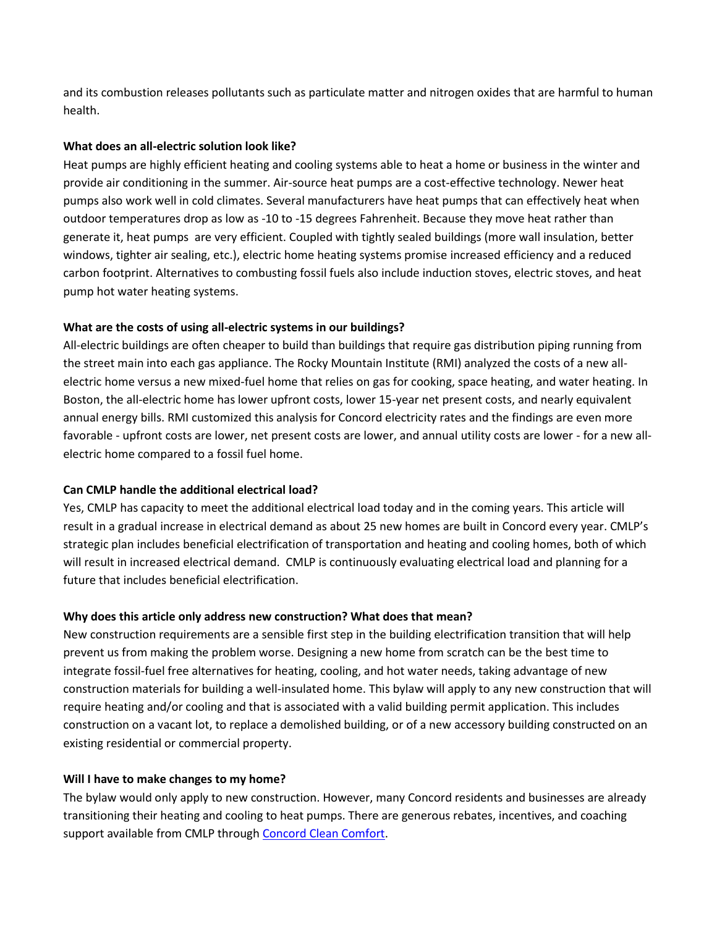and its combustion releases pollutants such as particulate matter and nitrogen oxides that are harmful to human health.

#### **What does an all-electric solution look like?**

Heat pumps are highly efficient heating and cooling systems able to heat a home or business in the winter and provide air conditioning in the summer. Air-source heat pumps are a cost-effective technology. Newer heat pumps also work well in cold climates. Several manufacturers have heat pumps that can effectively heat when outdoor temperatures drop as low as -10 to -15 degrees Fahrenheit. Because they move heat rather than generate it, heat pumps are very efficient. Coupled with tightly sealed buildings (more wall insulation, better windows, tighter air sealing, etc.), electric home heating systems promise increased efficiency and a reduced carbon footprint. Alternatives to combusting fossil fuels also include induction stoves, electric stoves, and heat pump hot water heating systems.

#### **What are the costs of using all-electric systems in our buildings?**

All-electric buildings are often cheaper to build than buildings that require gas distribution piping running from the street main into each gas appliance. The Rocky Mountain Institute (RMI) analyzed the costs of a new allelectric home versus a new mixed-fuel home that relies on gas for cooking, space heating, and water heating. In Boston, the all-electric home has lower upfront costs, lower 15-year net present costs, and nearly equivalent annual energy bills. RMI customized this analysis for Concord electricity rates and the findings are even more favorable - upfront costs are lower, net present costs are lower, and annual utility costs are lower - for a new allelectric home compared to a fossil fuel home.

#### **Can CMLP handle the additional electrical load?**

Yes, CMLP has capacity to meet the additional electrical load today and in the coming years. This article will result in a gradual increase in electrical demand as about 25 new homes are built in Concord every year. CMLP's strategic plan includes beneficial electrification of transportation and heating and cooling homes, both of which will result in increased electrical demand. CMLP is continuously evaluating electrical load and planning for a future that includes beneficial electrification.

#### **Why does this article only address new construction? What does that mean?**

New construction requirements are a sensible first step in the building electrification transition that will help prevent us from making the problem worse. Designing a new home from scratch can be the best time to integrate fossil-fuel free alternatives for heating, cooling, and hot water needs, taking advantage of new construction materials for building a well-insulated home. This bylaw will apply to any new construction that will require heating and/or cooling and that is associated with a valid building permit application. This includes construction on a vacant lot, to replace a demolished building, or of a new accessory building constructed on an existing residential or commercial property.

#### **Will I have to make changes to my home?**

The bylaw would only apply to new construction. However, many Concord residents and businesses are already transitioning their heating and cooling to heat pumps. There are generous rebates, incentives, and coaching support available from CMLP through [Concord Clean Comfort.](http://concordcleancomfort.org/)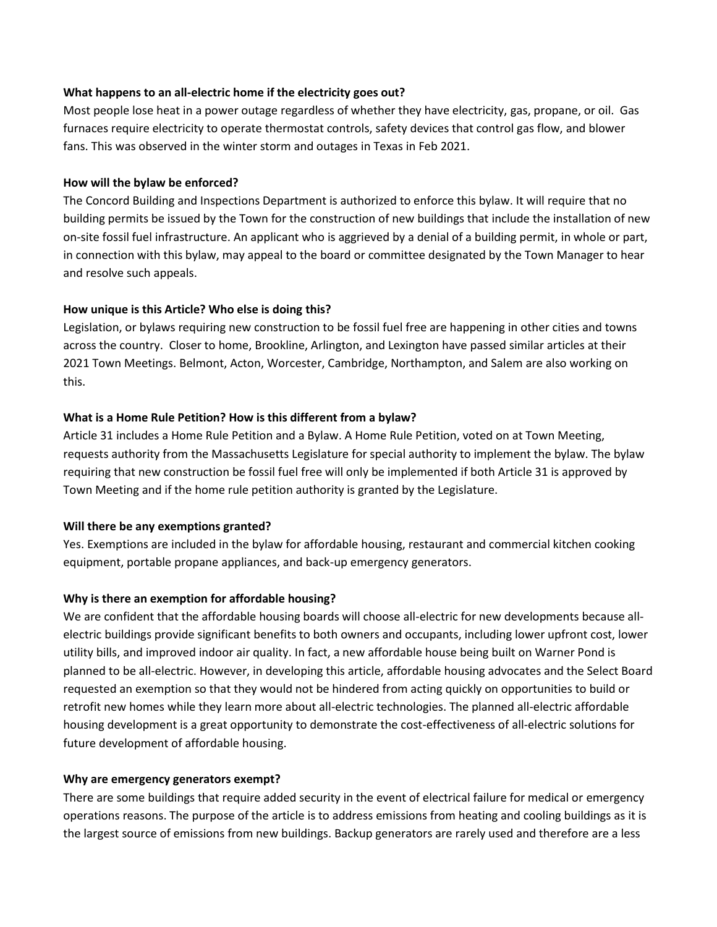#### **What happens to an all-electric home if the electricity goes out?**

Most people lose heat in a power outage regardless of whether they have electricity, gas, propane, or oil. Gas furnaces require electricity to operate thermostat controls, safety devices that control gas flow, and blower fans. This was observed in the winter storm and outages in Texas in Feb 2021.

## **How will the bylaw be enforced?**

The Concord Building and Inspections Department is authorized to enforce this bylaw. It will require that no building permits be issued by the Town for the construction of new buildings that include the installation of new on-site fossil fuel infrastructure. An applicant who is aggrieved by a denial of a building permit, in whole or part, in connection with this bylaw, may appeal to the board or committee designated by the Town Manager to hear and resolve such appeals.

# **How unique is this Article? Who else is doing this?**

Legislation, or bylaws requiring new construction to be fossil fuel free are happening in other cities and towns across the country. Closer to home, Brookline, Arlington, and Lexington have passed similar articles at their 2021 Town Meetings. Belmont, Acton, Worcester, Cambridge, Northampton, and Salem are also working on this.

## **What is a Home Rule Petition? How is this different from a bylaw?**

Article 31 includes a Home Rule Petition and a Bylaw. A Home Rule Petition, voted on at Town Meeting, requests authority from the Massachusetts Legislature for special authority to implement the bylaw. The bylaw requiring that new construction be fossil fuel free will only be implemented if both Article 31 is approved by Town Meeting and if the home rule petition authority is granted by the Legislature.

#### **Will there be any exemptions granted?**

Yes. Exemptions are included in the bylaw for affordable housing, restaurant and commercial kitchen cooking equipment, portable propane appliances, and back-up emergency generators.

# **Why is there an exemption for affordable housing?**

We are confident that the affordable housing boards will choose all-electric for new developments because allelectric buildings provide significant benefits to both owners and occupants, including lower upfront cost, lower utility bills, and improved indoor air quality. In fact, a new affordable house being built on Warner Pond is planned to be all-electric. However, in developing this article, affordable housing advocates and the Select Board requested an exemption so that they would not be hindered from acting quickly on opportunities to build or retrofit new homes while they learn more about all-electric technologies. The planned all-electric affordable housing development is a great opportunity to demonstrate the cost-effectiveness of all-electric solutions for future development of affordable housing.

#### **Why are emergency generators exempt?**

There are some buildings that require added security in the event of electrical failure for medical or emergency operations reasons. The purpose of the article is to address emissions from heating and cooling buildings as it is the largest source of emissions from new buildings. Backup generators are rarely used and therefore are a less